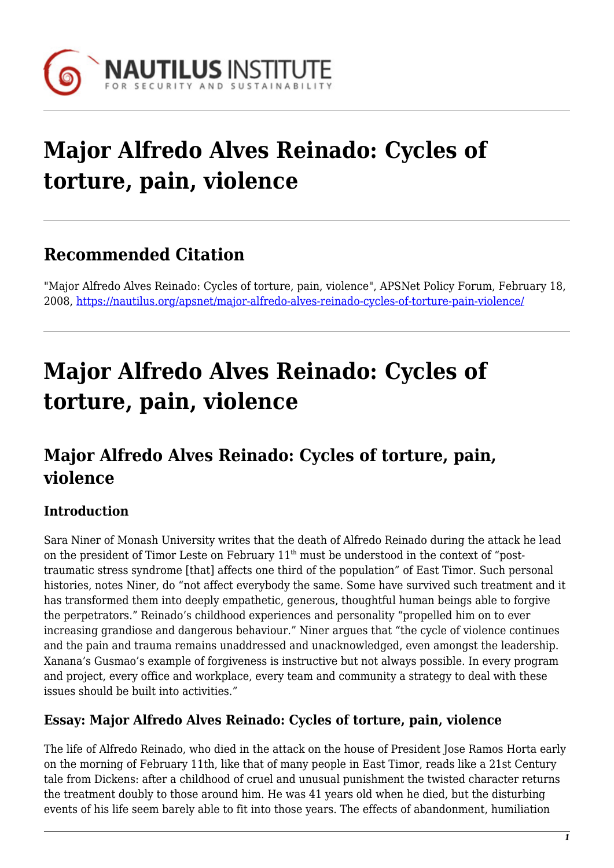

# **Major Alfredo Alves Reinado: Cycles of torture, pain, violence**

## **Recommended Citation**

"Major Alfredo Alves Reinado: Cycles of torture, pain, violence", APSNet Policy Forum, February 18, 2008, <https://nautilus.org/apsnet/major-alfredo-alves-reinado-cycles-of-torture-pain-violence/>

# **Major Alfredo Alves Reinado: Cycles of torture, pain, violence**

## **Major Alfredo Alves Reinado: Cycles of torture, pain, violence**

### **Introduction**

Sara Niner of Monash University writes that the death of Alfredo Reinado during the attack he lead on the president of Timor Leste on February 11<sup>th</sup> must be understood in the context of "posttraumatic stress syndrome [that] affects one third of the population" of East Timor. Such personal histories, notes Niner, do "not affect everybody the same. Some have survived such treatment and it has transformed them into deeply empathetic, generous, thoughtful human beings able to forgive the perpetrators." Reinado's childhood experiences and personality "propelled him on to ever increasing grandiose and dangerous behaviour." Niner argues that "the cycle of violence continues and the pain and trauma remains unaddressed and unacknowledged, even amongst the leadership. Xanana's Gusmao's example of forgiveness is instructive but not always possible. In every program and project, every office and workplace, every team and community a strategy to deal with these issues should be built into activities."

#### **Essay: Major Alfredo Alves Reinado: Cycles of torture, pain, violence**

The life of Alfredo Reinado, who died in the attack on the house of President Jose Ramos Horta early on the morning of February 11th, like that of many people in East Timor, reads like a 21st Century tale from Dickens: after a childhood of cruel and unusual punishment the twisted character returns the treatment doubly to those around him. He was 41 years old when he died, but the disturbing events of his life seem barely able to fit into those years. The effects of abandonment, humiliation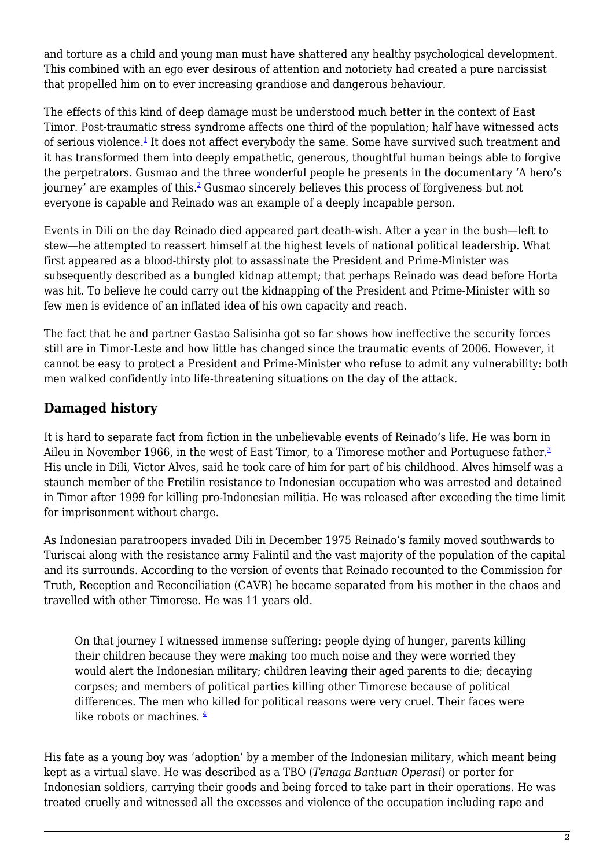and torture as a child and young man must have shattered any healthy psychological development. This combined with an ego ever desirous of attention and notoriety had created a pure narcissist that propelled him on to ever increasing grandiose and dangerous behaviour.

The effects of this kind of deep damage must be understood much better in the context of East Timor. Post-traumatic stress syndrome affects one third of the population; half have witnessed acts of serious violence.<sup>[1](file:///Volumes/JOD/_Jonathan/_Nautilus/APSNet/Policy-fora-source/08Alfredo Bio NINER3.html#sdendnote1sym)</sup> It does not affect everybody the same. Some have survived such treatment and it has transformed them into deeply empathetic, generous, thoughtful human beings able to forgive the perpetrators. Gusmao and the three wonderful people he presents in the documentary 'A hero's journey' are examples of this.<sup>[2](file:///Volumes/JOD/_Jonathan/_Nautilus/APSNet/Policy-fora-source/08Alfredo Bio NINER3.html#sdendnote2sym)</sup> Gusmao sincerely believes this process of forgiveness but not everyone is capable and Reinado was an example of a deeply incapable person.

Events in Dili on the day Reinado died appeared part death-wish. After a year in the bush—left to stew—he attempted to reassert himself at the highest levels of national political leadership. What first appeared as a blood-thirsty plot to assassinate the President and Prime-Minister was subsequently described as a bungled kidnap attempt; that perhaps Reinado was dead before Horta was hit. To believe he could carry out the kidnapping of the President and Prime-Minister with so few men is evidence of an inflated idea of his own capacity and reach.

The fact that he and partner Gastao Salisinha got so far shows how ineffective the security forces still are in Timor-Leste and how little has changed since the traumatic events of 2006. However, it cannot be easy to protect a President and Prime-Minister who refuse to admit any vulnerability: both men walked confidently into life-threatening situations on the day of the attack.

### **Damaged history**

It is hard to separate fact from fiction in the unbelievable events of Reinado's life. He was born in Aileu in November 1966, in the west of East Timor, to a Timorese mother and Portuguese father.<sup>[3](file:///Volumes/JOD/_Jonathan/_Nautilus/APSNet/Policy-fora-source/08Alfredo Bio NINER3.html#sdendnote3sym)</sup> His uncle in Dili, Victor Alves, said he took care of him for part of his childhood. Alves himself was a staunch member of the Fretilin resistance to Indonesian occupation who was arrested and detained in Timor after 1999 for killing pro-Indonesian militia. He was released after exceeding the time limit for imprisonment without charge.

As Indonesian paratroopers invaded Dili in December 1975 Reinado's family moved southwards to Turiscai along with the resistance army Falintil and the vast majority of the population of the capital and its surrounds. According to the version of events that Reinado recounted to the Commission for Truth, Reception and Reconciliation (CAVR) he became separated from his mother in the chaos and travelled with other Timorese. He was 11 years old.

On that journey I witnessed immense suffering: people dying of hunger, parents killing their children because they were making too much noise and they were worried they would alert the Indonesian military; children leaving their aged parents to die; decaying corpses; and members of political parties killing other Timorese because of political differences. The men who killed for political reasons were very cruel. Their faces were like robots or machines.  $4$ 

His fate as a young boy was 'adoption' by a member of the Indonesian military, which meant being kept as a virtual slave. He was described as a TBO (*Tenaga Bantuan Operasi*) or porter for Indonesian soldiers, carrying their goods and being forced to take part in their operations. He was treated cruelly and witnessed all the excesses and violence of the occupation including rape and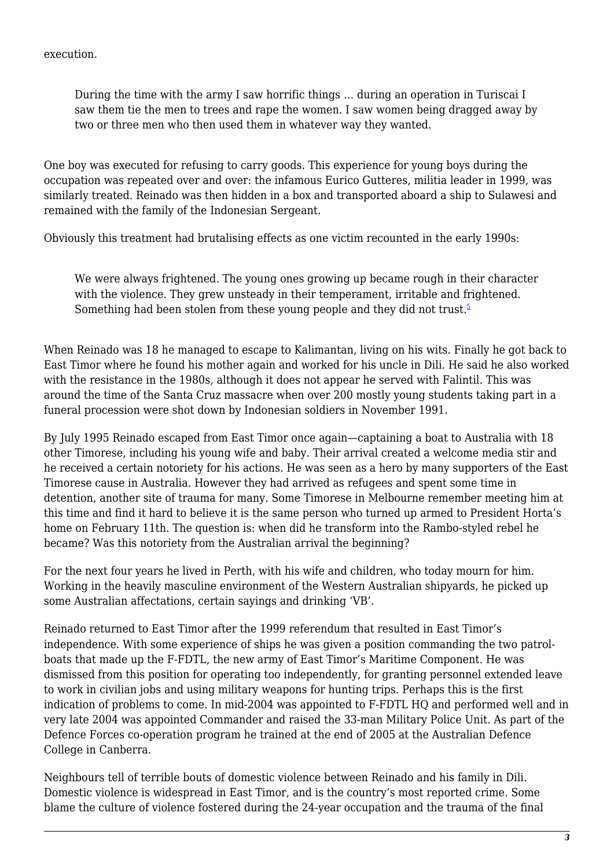execution.

During the time with the army I saw horrific things … during an operation in Turiscai I saw them tie the men to trees and rape the women. I saw women being dragged away by two or three men who then used them in whatever way they wanted.

One boy was executed for refusing to carry goods. This experience for young boys during the occupation was repeated over and over: the infamous Eurico Gutteres, militia leader in 1999, was similarly treated. Reinado was then hidden in a box and transported aboard a ship to Sulawesi and remained with the family of the Indonesian Sergeant.

Obviously this treatment had brutalising effects as one victim recounted in the early 1990s:

We were always frightened. The young ones growing up became rough in their character with the violence. They grew unsteady in their temperament, irritable and frightened. Something had been stolen from these young people and they did not trust.<sup>[5](file:///Volumes/JOD/_Jonathan/_Nautilus/APSNet/Policy-fora-source/08Alfredo Bio NINER3.html#sdendnote5sym)</sup>

When Reinado was 18 he managed to escape to Kalimantan, living on his wits. Finally he got back to East Timor where he found his mother again and worked for his uncle in Dili. He said he also worked with the resistance in the 1980s, although it does not appear he served with Falintil. This was around the time of the Santa Cruz massacre when over 200 mostly young students taking part in a funeral procession were shot down by Indonesian soldiers in November 1991.

By July 1995 Reinado escaped from East Timor once again—captaining a boat to Australia with 18 other Timorese, including his young wife and baby. Their arrival created a welcome media stir and he received a certain notoriety for his actions. He was seen as a hero by many supporters of the East Timorese cause in Australia. However they had arrived as refugees and spent some time in detention, another site of trauma for many. Some Timorese in Melbourne remember meeting him at this time and find it hard to believe it is the same person who turned up armed to President Horta's home on February 11th. The question is: when did he transform into the Rambo-styled rebel he became? Was this notoriety from the Australian arrival the beginning?

For the next four years he lived in Perth, with his wife and children, who today mourn for him. Working in the heavily masculine environment of the Western Australian shipyards, he picked up some Australian affectations, certain sayings and drinking 'VB'.

Reinado returned to East Timor after the 1999 referendum that resulted in East Timor's independence. With some experience of ships he was given a position commanding the two patrolboats that made up the F-FDTL, the new army of East Timor's Maritime Component. He was dismissed from this position for operating too independently, for granting personnel extended leave to work in civilian jobs and using military weapons for hunting trips. Perhaps this is the first indication of problems to come. In mid-2004 was appointed to F-FDTL HQ and performed well and in very late 2004 was appointed Commander and raised the 33-man Military Police Unit. As part of the Defence Forces co-operation program he trained at the end of 2005 at the Australian Defence College in Canberra.

Neighbours tell of terrible bouts of domestic violence between Reinado and his family in Dili. Domestic violence is widespread in East Timor, and is the country's most reported crime. Some blame the culture of violence fostered during the 24-year occupation and the trauma of the final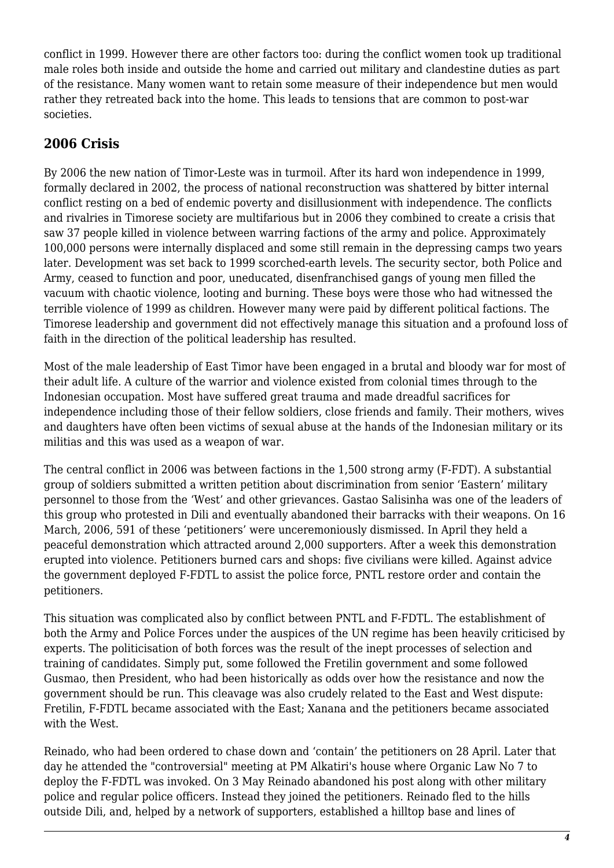conflict in 1999. However there are other factors too: during the conflict women took up traditional male roles both inside and outside the home and carried out military and clandestine duties as part of the resistance. Many women want to retain some measure of their independence but men would rather they retreated back into the home. This leads to tensions that are common to post-war societies.

#### **2006 Crisis**

By 2006 the new nation of Timor-Leste was in turmoil. After its hard won independence in 1999, formally declared in 2002, the process of national reconstruction was shattered by bitter internal conflict resting on a bed of endemic poverty and disillusionment with independence. The conflicts and rivalries in Timorese society are multifarious but in 2006 they combined to create a crisis that saw 37 people killed in violence between warring factions of the army and police. Approximately 100,000 persons were internally displaced and some still remain in the depressing camps two years later. Development was set back to 1999 scorched-earth levels. The security sector, both Police and Army, ceased to function and poor, uneducated, disenfranchised gangs of young men filled the vacuum with chaotic violence, looting and burning. These boys were those who had witnessed the terrible violence of 1999 as children. However many were paid by different political factions. The Timorese leadership and government did not effectively manage this situation and a profound loss of faith in the direction of the political leadership has resulted.

Most of the male leadership of East Timor have been engaged in a brutal and bloody war for most of their adult life. A culture of the warrior and violence existed from colonial times through to the Indonesian occupation. Most have suffered great trauma and made dreadful sacrifices for independence including those of their fellow soldiers, close friends and family. Their mothers, wives and daughters have often been victims of sexual abuse at the hands of the Indonesian military or its militias and this was used as a weapon of war.

The central conflict in 2006 was between factions in the 1,500 strong army (F-FDT). A substantial group of soldiers submitted a written petition about discrimination from senior 'Eastern' military personnel to those from the 'West' and other grievances. Gastao Salisinha was one of the leaders of this group who protested in Dili and eventually abandoned their barracks with their weapons. On 16 March, 2006, 591 of these 'petitioners' were unceremoniously dismissed. In April they held a peaceful demonstration which attracted around 2,000 supporters. After a week this demonstration erupted into violence. Petitioners burned cars and shops: five civilians were killed. Against advice the government deployed F-FDTL to assist the police force, PNTL restore order and contain the petitioners.

This situation was complicated also by conflict between PNTL and F-FDTL. The establishment of both the Army and Police Forces under the auspices of the UN regime has been heavily criticised by experts. The politicisation of both forces was the result of the inept processes of selection and training of candidates. Simply put, some followed the Fretilin government and some followed Gusmao, then President, who had been historically as odds over how the resistance and now the government should be run. This cleavage was also crudely related to the East and West dispute: Fretilin, F-FDTL became associated with the East; Xanana and the petitioners became associated with the West.

Reinado, who had been ordered to chase down and 'contain' the petitioners on 28 April. Later that day he attended the "controversial" meeting at PM Alkatiri's house where Organic Law No 7 to deploy the F-FDTL was invoked. On 3 May Reinado abandoned his post along with other military police and regular police officers. Instead they joined the petitioners. Reinado fled to the hills outside Dili, and, helped by a network of supporters, established a hilltop base and lines of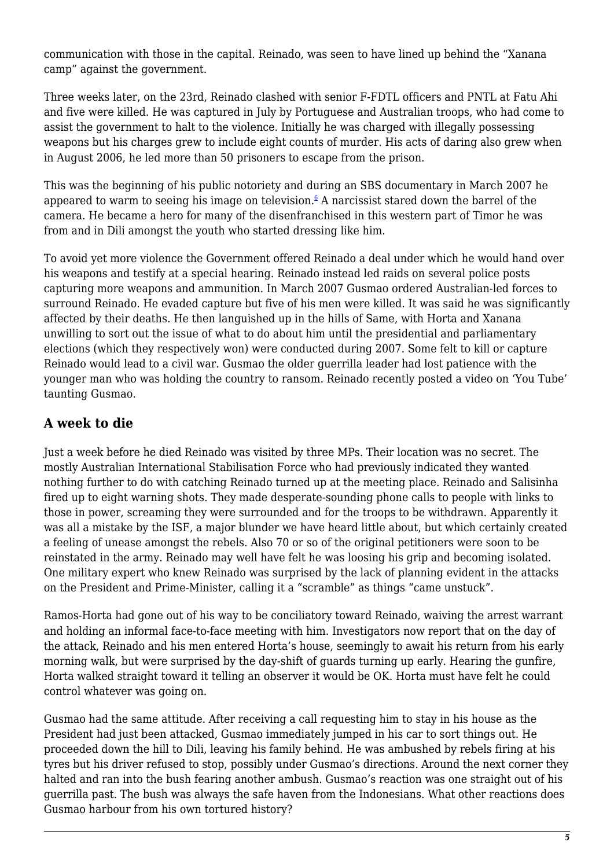communication with those in the capital. Reinado, was seen to have lined up behind the "Xanana camp" against the government.

Three weeks later, on the 23rd, Reinado clashed with senior F-FDTL officers and PNTL at Fatu Ahi and five were killed. He was captured in July by Portuguese and Australian troops, who had come to assist the government to halt to the violence. Initially he was charged with illegally possessing weapons but his charges grew to include eight counts of murder. His acts of daring also grew when in August 2006, he led more than 50 prisoners to escape from the prison.

This was the beginning of his public notoriety and during an SBS documentary in March 2007 he appeared to warm to seeing his image on television. $6$  A narcissist stared down the barrel of the camera. He became a hero for many of the disenfranchised in this western part of Timor he was from and in Dili amongst the youth who started dressing like him.

To avoid yet more violence the Government offered Reinado a deal under which he would hand over his weapons and testify at a special hearing. Reinado instead led raids on several police posts capturing more weapons and ammunition. In March 2007 Gusmao ordered Australian-led forces to surround Reinado. He evaded capture but five of his men were killed. It was said he was significantly affected by their deaths. He then languished up in the hills of Same, with Horta and Xanana unwilling to sort out the issue of what to do about him until the presidential and parliamentary elections (which they respectively won) were conducted during 2007. Some felt to kill or capture Reinado would lead to a civil war. Gusmao the older guerrilla leader had lost patience with the younger man who was holding the country to ransom. Reinado recently posted a video on 'You Tube' taunting Gusmao.

#### **A week to die**

Just a week before he died Reinado was visited by three MPs. Their location was no secret. The mostly Australian International Stabilisation Force who had previously indicated they wanted nothing further to do with catching Reinado turned up at the meeting place. Reinado and Salisinha fired up to eight warning shots. They made desperate-sounding phone calls to people with links to those in power, screaming they were surrounded and for the troops to be withdrawn. Apparently it was all a mistake by the ISF, a major blunder we have heard little about, but which certainly created a feeling of unease amongst the rebels. Also 70 or so of the original petitioners were soon to be reinstated in the army. Reinado may well have felt he was loosing his grip and becoming isolated. One military expert who knew Reinado was surprised by the lack of planning evident in the attacks on the President and Prime-Minister, calling it a "scramble" as things "came unstuck".

Ramos-Horta had gone out of his way to be conciliatory toward Reinado, waiving the arrest warrant and holding an informal face-to-face meeting with him. Investigators now report that on the day of the attack, Reinado and his men entered Horta's house, seemingly to await his return from his early morning walk, but were surprised by the day-shift of guards turning up early. Hearing the gunfire, Horta walked straight toward it telling an observer it would be OK. Horta must have felt he could control whatever was going on.

Gusmao had the same attitude. After receiving a call requesting him to stay in his house as the President had just been attacked, Gusmao immediately jumped in his car to sort things out. He proceeded down the hill to Dili, leaving his family behind. He was ambushed by rebels firing at his tyres but his driver refused to stop, possibly under Gusmao's directions. Around the next corner they halted and ran into the bush fearing another ambush. Gusmao's reaction was one straight out of his guerrilla past. The bush was always the safe haven from the Indonesians. What other reactions does Gusmao harbour from his own tortured history?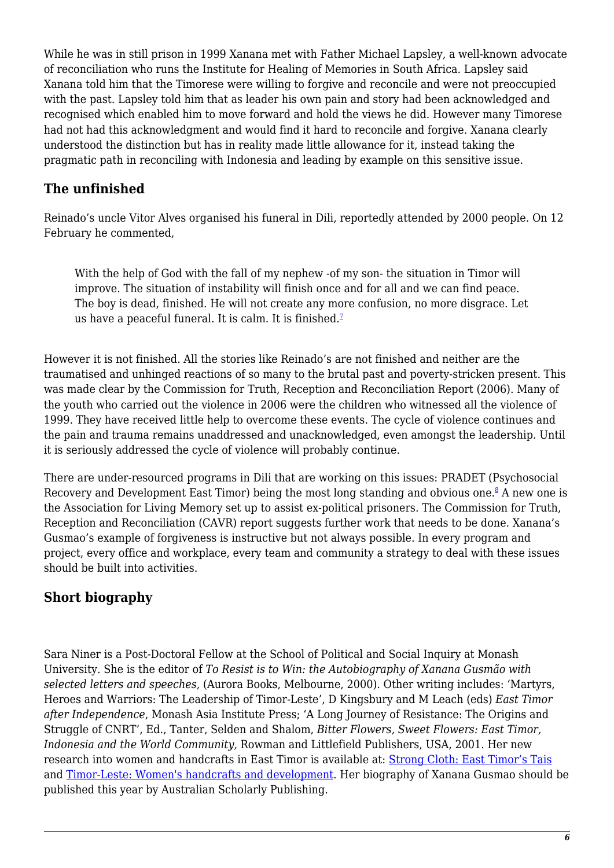While he was in still prison in 1999 Xanana met with Father Michael Lapsley, a well-known advocate of reconciliation who runs the Institute for Healing of Memories in South Africa. Lapsley said Xanana told him that the Timorese were willing to forgive and reconcile and were not preoccupied with the past. Lapsley told him that as leader his own pain and story had been acknowledged and recognised which enabled him to move forward and hold the views he did. However many Timorese had not had this acknowledgment and would find it hard to reconcile and forgive. Xanana clearly understood the distinction but has in reality made little allowance for it, instead taking the pragmatic path in reconciling with Indonesia and leading by example on this sensitive issue.

### **The unfinished**

Reinado's uncle Vitor Alves organised his funeral in Dili, reportedly attended by 2000 people. On 12 February he commented,

With the help of God with the fall of my nephew -of my son- the situation in Timor will improve. The situation of instability will finish once and for all and we can find peace. The boy is dead, finished. He will not create any more confusion, no more disgrace. Let us have a peaceful funeral. It is calm. It is finished. $<sup>2</sup>$ </sup>

However it is not finished. All the stories like Reinado's are not finished and neither are the traumatised and unhinged reactions of so many to the brutal past and poverty-stricken present. This was made clear by the Commission for Truth, Reception and Reconciliation Report (2006). Many of the youth who carried out the violence in 2006 were the children who witnessed all the violence of 1999. They have received little help to overcome these events. The cycle of violence continues and the pain and trauma remains unaddressed and unacknowledged, even amongst the leadership. Until it is seriously addressed the cycle of violence will probably continue.

There are under-resourced programs in Dili that are working on this issues: PRADET (Psychosocial Recovery and Development East Timor) being the most long standing and obvious one.<sup>[8](file:///Volumes/JOD/_Jonathan/_Nautilus/APSNet/Policy-fora-source/08Alfredo Bio NINER3.html#sdendnote8sym)</sup> A new one is the Association for Living Memory set up to assist ex-political prisoners. The Commission for Truth, Reception and Reconciliation (CAVR) report suggests further work that needs to be done. Xanana's Gusmao's example of forgiveness is instructive but not always possible. In every program and project, every office and workplace, every team and community a strategy to deal with these issues should be built into activities.

### **Short biography**

Sara Niner is a Post-Doctoral Fellow at the School of Political and Social Inquiry at Monash University. She is the editor of *To Resist is to Win: the Autobiography of Xanana Gusmão with selected letters and speeches*, (Aurora Books, Melbourne, 2000). Other writing includes: 'Martyrs, Heroes and Warriors: The Leadership of Timor-Leste', D Kingsbury and M Leach (eds) *East Timor after Independence*, Monash Asia Institute Press; 'A Long Journey of Resistance: The Origins and Struggle of CNRT', Ed., Tanter, Selden and Shalom, *Bitter Flowers, Sweet Flowers: East Timor, Indonesia and the World Community,* Rowman and Littlefield Publishers, USA, 2001. Her new research into women and handcrafts in East Timor is available at: [Strong Cloth: East Timor's Tais](http://www.craftculture.org/world/niner1.htm) and [Timor-Leste: Women's handcrafts and development](http://www.cdu.edu.au/timorlesteconference/documents/niner-s-ppt.pdf). Her biography of Xanana Gusmao should be published this year by Australian Scholarly Publishing.